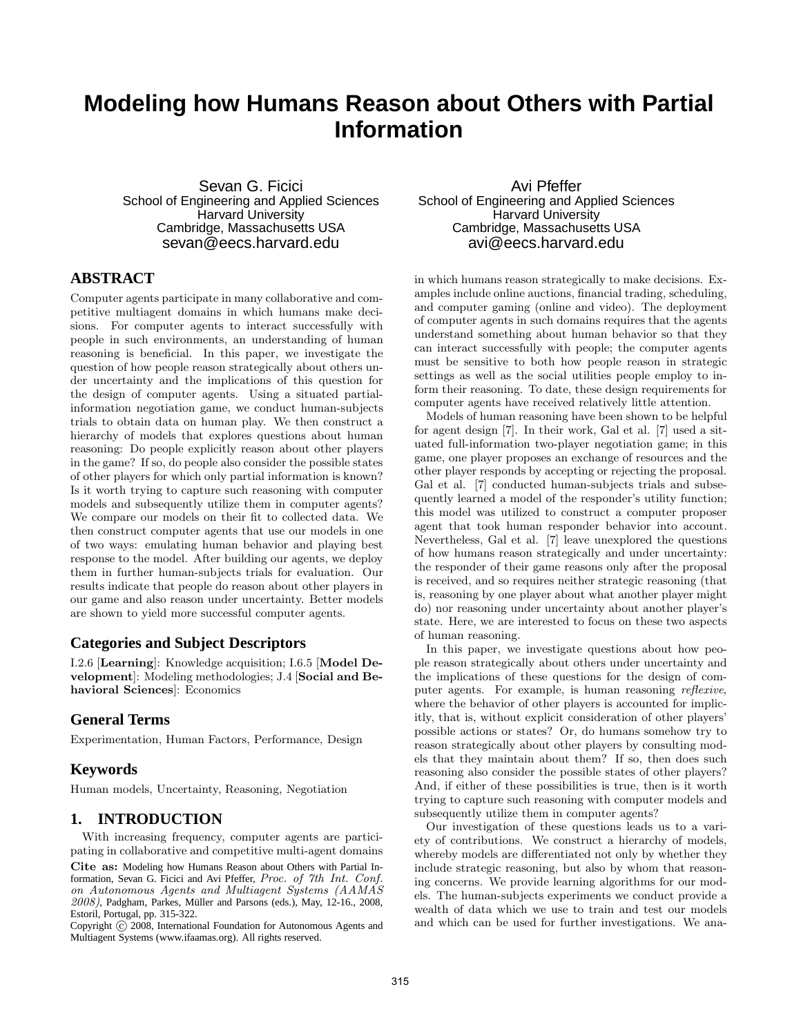# **Modeling how Humans Reason about Others with Partial Information**

Sevan G. Ficici School of Engineering and Applied Sciences **Harvard University** Cambridge, Massachusetts USA sevan@eecs.harvard.edu

# **ABSTRACT**

Computer agents participate in many collaborative and competitive multiagent domains in which humans make decisions. For computer agents to interact successfully with people in such environments, an understanding of human reasoning is beneficial. In this paper, we investigate the question of how people reason strategically about others under uncertainty and the implications of this question for the design of computer agents. Using a situated partialinformation negotiation game, we conduct human-subjects trials to obtain data on human play. We then construct a hierarchy of models that explores questions about human reasoning: Do people explicitly reason about other players in the game? If so, do people also consider the possible states of other players for which only partial information is known? Is it worth trying to capture such reasoning with computer models and subsequently utilize them in computer agents? We compare our models on their fit to collected data. We then construct computer agents that use our models in one of two ways: emulating human behavior and playing best response to the model. After building our agents, we deploy them in further human-subjects trials for evaluation. Our results indicate that people do reason about other players in our game and also reason under uncertainty. Better models are shown to yield more successful computer agents.

# **Categories and Subject Descriptors**

I.2.6 [Learning]: Knowledge acquisition; I.6.5 [Model Development]: Modeling methodologies; J.4 [Social and Behavioral Sciences]: Economics

## **General Terms**

Experimentation, Human Factors, Performance, Design

## **Keywords**

Human models, Uncertainty, Reasoning, Negotiation

# **1. INTRODUCTION**

With increasing frequency, computer agents are participating in collaborative and competitive multi-agent domains

Cite as: Modeling how Humans Reason about Others with Partial Information, Sevan G. Ficici and Avi Pfeffer, Proc. of 7th Int. Conf. on Autonomous Agents and Multiagent Systems (AAMAS 2008), Padgham, Parkes, Müller and Parsons (eds.), May, 12-16., 2008, Estoril, Portugal, pp. 315-322.

Copyright  $\overline{c}$  2008, International Foundation for Autonomous Agents and Multiagent Systems (www.ifaamas.org). All rights reserved.

Avi Pfeffer School of Engineering and Applied Sciences **Harvard University** Cambridge, Massachusetts USA avi@eecs.harvard.edu

in which humans reason strategically to make decisions. Examples include online auctions, financial trading, scheduling, and computer gaming (online and video). The deployment of computer agents in such domains requires that the agents understand something about human behavior so that they can interact successfully with people; the computer agents must be sensitive to both how people reason in strategic settings as well as the social utilities people employ to inform their reasoning. To date, these design requirements for computer agents have received relatively little attention.

Models of human reasoning have been shown to be helpful for agent design [7]. In their work, Gal et al. [7] used a situated full-information two-player negotiation game; in this game, one player proposes an exchange of resources and the other player responds by accepting or rejecting the proposal. Gal et al. [7] conducted human-subjects trials and subsequently learned a model of the responder's utility function; this model was utilized to construct a computer proposer agent that took human responder behavior into account. Nevertheless, Gal et al. [7] leave unexplored the questions of how humans reason strategically and under uncertainty: the responder of their game reasons only after the proposal is received, and so requires neither strategic reasoning (that is, reasoning by one player about what another player might do) nor reasoning under uncertainty about another player's state. Here, we are interested to focus on these two aspects of human reasoning.

In this paper, we investigate questions about how people reason strategically about others under uncertainty and the implications of these questions for the design of computer agents. For example, is human reasoning reflexive, where the behavior of other players is accounted for implicitly, that is, without explicit consideration of other players' possible actions or states? Or, do humans somehow try to reason strategically about other players by consulting models that they maintain about them? If so, then does such reasoning also consider the possible states of other players? And, if either of these possibilities is true, then is it worth trying to capture such reasoning with computer models and subsequently utilize them in computer agents?

Our investigation of these questions leads us to a variety of contributions. We construct a hierarchy of models, whereby models are differentiated not only by whether they include strategic reasoning, but also by whom that reasoning concerns. We provide learning algorithms for our models. The human-subjects experiments we conduct provide a wealth of data which we use to train and test our models and which can be used for further investigations. We ana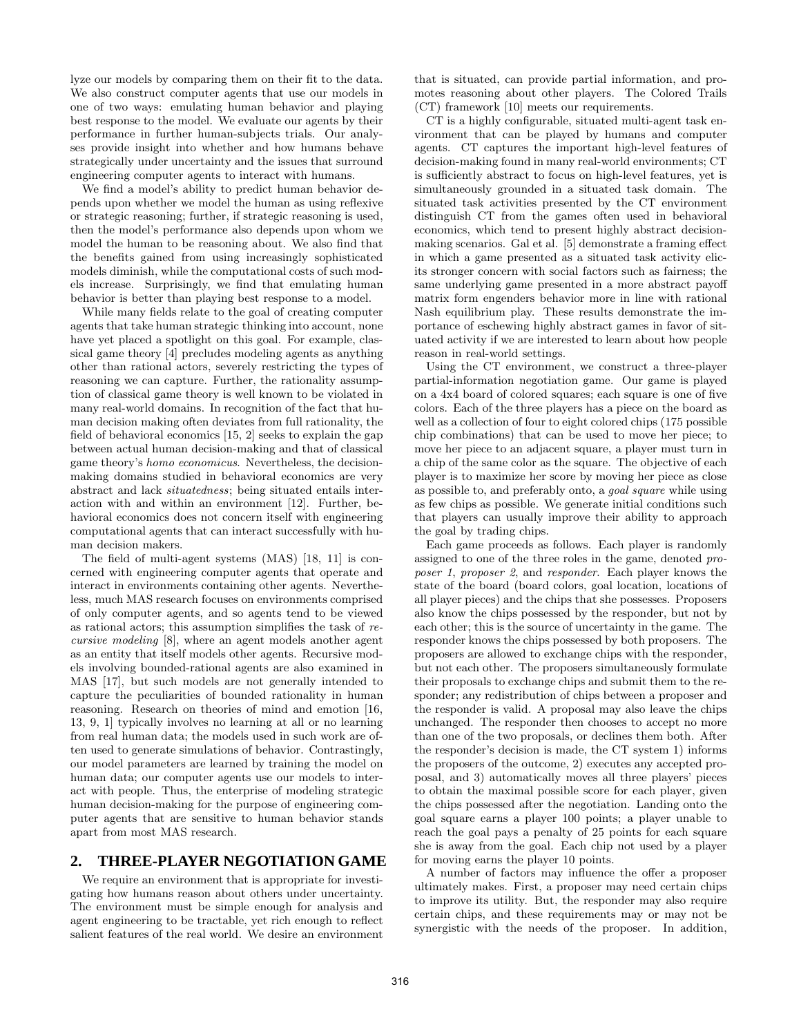lyze our models by comparing them on their fit to the data. We also construct computer agents that use our models in one of two ways: emulating human behavior and playing best response to the model. We evaluate our agents by their performance in further human-subjects trials. Our analyses provide insight into whether and how humans behave strategically under uncertainty and the issues that surround engineering computer agents to interact with humans.

We find a model's ability to predict human behavior depends upon whether we model the human as using reflexive or strategic reasoning; further, if strategic reasoning is used, then the model's performance also depends upon whom we model the human to be reasoning about. We also find that the benefits gained from using increasingly sophisticated models diminish, while the computational costs of such models increase. Surprisingly, we find that emulating human behavior is better than playing best response to a model.

While many fields relate to the goal of creating computer agents that take human strategic thinking into account, none have yet placed a spotlight on this goal. For example, classical game theory [4] precludes modeling agents as anything other than rational actors, severely restricting the types of reasoning we can capture. Further, the rationality assumption of classical game theory is well known to be violated in many real-world domains. In recognition of the fact that human decision making often deviates from full rationality, the field of behavioral economics [15, 2] seeks to explain the gap between actual human decision-making and that of classical game theory's homo economicus. Nevertheless, the decisionmaking domains studied in behavioral economics are very abstract and lack situatedness; being situated entails interaction with and within an environment [12]. Further, behavioral economics does not concern itself with engineering computational agents that can interact successfully with human decision makers.

The field of multi-agent systems (MAS) [18, 11] is concerned with engineering computer agents that operate and interact in environments containing other agents. Nevertheless, much MAS research focuses on environments comprised of only computer agents, and so agents tend to be viewed as rational actors; this assumption simplifies the task of recursive modeling [8], where an agent models another agent as an entity that itself models other agents. Recursive models involving bounded-rational agents are also examined in MAS [17], but such models are not generally intended to capture the peculiarities of bounded rationality in human reasoning. Research on theories of mind and emotion [16, 13, 9, 1] typically involves no learning at all or no learning from real human data; the models used in such work are often used to generate simulations of behavior. Contrastingly, our model parameters are learned by training the model on human data; our computer agents use our models to interact with people. Thus, the enterprise of modeling strategic human decision-making for the purpose of engineering computer agents that are sensitive to human behavior stands apart from most MAS research.

# **2. THREE-PLAYER NEGOTIATION GAME**

We require an environment that is appropriate for investigating how humans reason about others under uncertainty. The environment must be simple enough for analysis and agent engineering to be tractable, yet rich enough to reflect salient features of the real world. We desire an environment

that is situated, can provide partial information, and promotes reasoning about other players. The Colored Trails (CT) framework [10] meets our requirements.

CT is a highly configurable, situated multi-agent task environment that can be played by humans and computer agents. CT captures the important high-level features of decision-making found in many real-world environments; CT is sufficiently abstract to focus on high-level features, yet is simultaneously grounded in a situated task domain. The situated task activities presented by the CT environment distinguish CT from the games often used in behavioral economics, which tend to present highly abstract decisionmaking scenarios. Gal et al. [5] demonstrate a framing effect in which a game presented as a situated task activity elicits stronger concern with social factors such as fairness; the same underlying game presented in a more abstract payoff matrix form engenders behavior more in line with rational Nash equilibrium play. These results demonstrate the importance of eschewing highly abstract games in favor of situated activity if we are interested to learn about how people reason in real-world settings.

Using the CT environment, we construct a three-player partial-information negotiation game. Our game is played on a 4x4 board of colored squares; each square is one of five colors. Each of the three players has a piece on the board as well as a collection of four to eight colored chips (175 possible chip combinations) that can be used to move her piece; to move her piece to an adjacent square, a player must turn in a chip of the same color as the square. The objective of each player is to maximize her score by moving her piece as close as possible to, and preferably onto, a goal square while using as few chips as possible. We generate initial conditions such that players can usually improve their ability to approach the goal by trading chips.

Each game proceeds as follows. Each player is randomly assigned to one of the three roles in the game, denoted proposer 1, proposer 2, and responder. Each player knows the state of the board (board colors, goal location, locations of all player pieces) and the chips that she possesses. Proposers also know the chips possessed by the responder, but not by each other; this is the source of uncertainty in the game. The responder knows the chips possessed by both proposers. The proposers are allowed to exchange chips with the responder, but not each other. The proposers simultaneously formulate their proposals to exchange chips and submit them to the responder; any redistribution of chips between a proposer and the responder is valid. A proposal may also leave the chips unchanged. The responder then chooses to accept no more than one of the two proposals, or declines them both. After the responder's decision is made, the CT system 1) informs the proposers of the outcome, 2) executes any accepted proposal, and 3) automatically moves all three players' pieces to obtain the maximal possible score for each player, given the chips possessed after the negotiation. Landing onto the goal square earns a player 100 points; a player unable to reach the goal pays a penalty of 25 points for each square she is away from the goal. Each chip not used by a player for moving earns the player 10 points.

A number of factors may influence the offer a proposer ultimately makes. First, a proposer may need certain chips to improve its utility. But, the responder may also require certain chips, and these requirements may or may not be synergistic with the needs of the proposer. In addition,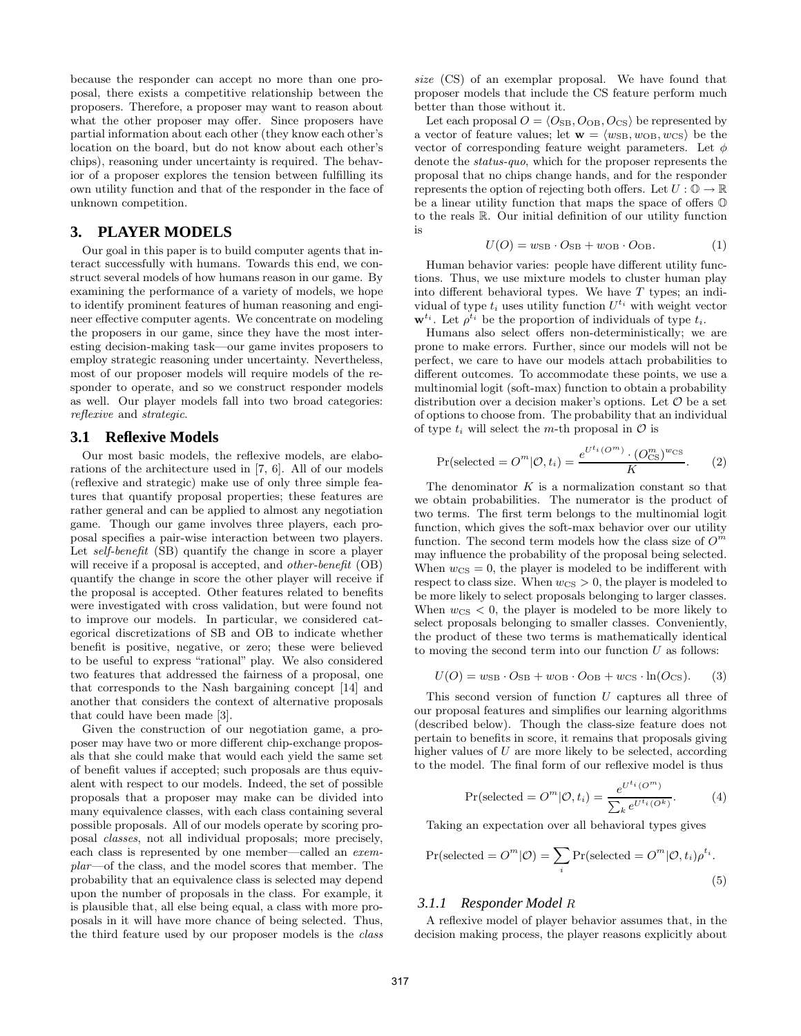because the responder can accept no more than one proposal, there exists a competitive relationship between the proposers. Therefore, a proposer may want to reason about what the other proposer may offer. Since proposers have partial information about each other (they know each other's location on the board, but do not know about each other's chips), reasoning under uncertainty is required. The behavior of a proposer explores the tension between fulfilling its own utility function and that of the responder in the face of unknown competition.

# **3. PLAYER MODELS**

Our goal in this paper is to build computer agents that interact successfully with humans. Towards this end, we construct several models of how humans reason in our game. By examining the performance of a variety of models, we hope to identify prominent features of human reasoning and engineer effective computer agents. We concentrate on modeling the proposers in our game, since they have the most interesting decision-making task—our game invites proposers to employ strategic reasoning under uncertainty. Nevertheless, most of our proposer models will require models of the responder to operate, and so we construct responder models as well. Our player models fall into two broad categories: reflexive and strategic.

## **3.1 Reflexive Models**

Our most basic models, the reflexive models, are elaborations of the architecture used in [7, 6]. All of our models (reflexive and strategic) make use of only three simple features that quantify proposal properties; these features are rather general and can be applied to almost any negotiation game. Though our game involves three players, each proposal specifies a pair-wise interaction between two players. Let *self-benefit* (SB) quantify the change in score a player will receive if a proposal is accepted, and *other-benefit* (OB) quantify the change in score the other player will receive if the proposal is accepted. Other features related to benefits were investigated with cross validation, but were found not to improve our models. In particular, we considered categorical discretizations of SB and OB to indicate whether benefit is positive, negative, or zero; these were believed to be useful to express "rational" play. We also considered two features that addressed the fairness of a proposal, one that corresponds to the Nash bargaining concept [14] and another that considers the context of alternative proposals that could have been made [3].

Given the construction of our negotiation game, a proposer may have two or more different chip-exchange proposals that she could make that would each yield the same set of benefit values if accepted; such proposals are thus equivalent with respect to our models. Indeed, the set of possible proposals that a proposer may make can be divided into many equivalence classes, with each class containing several possible proposals. All of our models operate by scoring proposal classes, not all individual proposals; more precisely, each class is represented by one member—called an exemplar—of the class, and the model scores that member. The probability that an equivalence class is selected may depend upon the number of proposals in the class. For example, it is plausible that, all else being equal, a class with more proposals in it will have more chance of being selected. Thus, the third feature used by our proposer models is the class

size (CS) of an exemplar proposal. We have found that proposer models that include the CS feature perform much better than those without it.

Let each proposal  $O = \langle O_{\text{SB}}, O_{\text{OB}}, O_{\text{CS}} \rangle$  be represented by a vector of feature values; let  $\mathbf{w} = \langle w_{\text{SB}}, w_{\text{OB}}, w_{\text{CS}} \rangle$  be the vector of corresponding feature weight parameters. Let  $\phi$ denote the status-quo, which for the proposer represents the proposal that no chips change hands, and for the responder represents the option of rejecting both offers. Let  $U: \mathbb{O} \to \mathbb{R}$ be a linear utility function that maps the space of offers O to the reals R. Our initial definition of our utility function is

$$
U(O) = w_{\text{SB}} \cdot O_{\text{SB}} + w_{\text{OB}} \cdot O_{\text{OB}}.
$$
 (1)

Human behavior varies: people have different utility functions. Thus, we use mixture models to cluster human play into different behavioral types. We have T types; an individual of type  $t_i$  uses utility function  $U^{t_i}$  with weight vector  $\mathbf{w}^{t_i}$ . Let  $\rho^{t_i}$  be the proportion of individuals of type  $t_i$ .

Humans also select offers non-deterministically; we are prone to make errors. Further, since our models will not be perfect, we care to have our models attach probabilities to different outcomes. To accommodate these points, we use a multinomial logit (soft-max) function to obtain a probability distribution over a decision maker's options. Let  $\mathcal O$  be a set of options to choose from. The probability that an individual of type  $t_i$  will select the m-th proposal in  $\mathcal O$  is

$$
Pr(\text{selected} = O^m | \mathcal{O}, t_i) = \frac{e^{U^{t_i}(O^m)} \cdot (O^m_{\text{CS}})^{w_{\text{CS}}}}{K}.
$$
 (2)

The denominator  $K$  is a normalization constant so that we obtain probabilities. The numerator is the product of two terms. The first term belongs to the multinomial logit function, which gives the soft-max behavior over our utility function. The second term models how the class size of  $O^m$ may influence the probability of the proposal being selected. When  $w_{\text{CS}} = 0$ , the player is modeled to be indifferent with respect to class size. When  $w_{\text{CS}} > 0$ , the player is modeled to be more likely to select proposals belonging to larger classes. When  $w_{\text{CS}}$  < 0, the player is modeled to be more likely to select proposals belonging to smaller classes. Conveniently, the product of these two terms is mathematically identical to moving the second term into our function  $U$  as follows:

$$
U(O) = w_{\text{SB}} \cdot O_{\text{SB}} + w_{\text{OB}} \cdot O_{\text{OB}} + w_{\text{CS}} \cdot \ln(O_{\text{CS}}). \tag{3}
$$

This second version of function  $U$  captures all three of our proposal features and simplifies our learning algorithms (described below). Though the class-size feature does not pertain to benefits in score, it remains that proposals giving higher values of U are more likely to be selected, according to the model. The final form of our reflexive model is thus

$$
Pr(\text{selected} = O^m | \mathcal{O}, t_i) = \frac{e^{U^{t_i}(O^m)}}{\sum_k e^{U^{t_i}(O^k)}}.
$$
 (4)

Taking an expectation over all behavioral types gives

$$
Pr(\text{selected} = O^m | O) = \sum_{i} Pr(\text{selected} = O^m | O, t_i) \rho^{t_i}.
$$
\n(5)

#### *3.1.1 Responder Model* R

A reflexive model of player behavior assumes that, in the decision making process, the player reasons explicitly about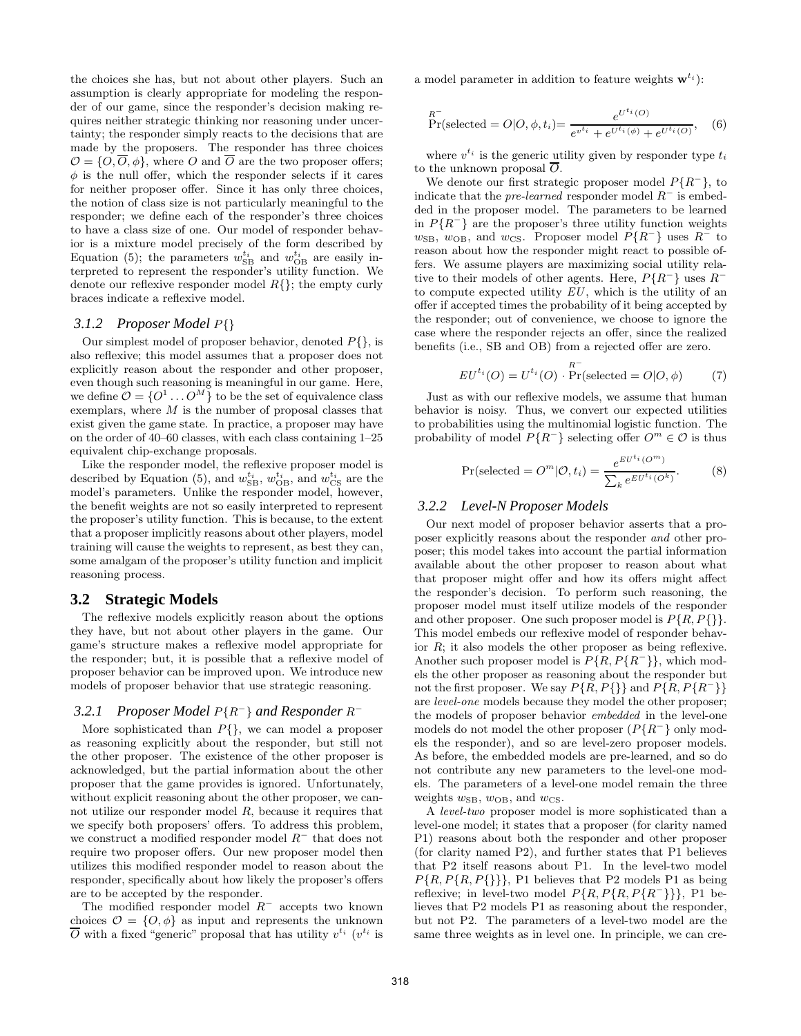the choices she has, but not about other players. Such an assumption is clearly appropriate for modeling the responder of our game, since the responder's decision making requires neither strategic thinking nor reasoning under uncertainty; the responder simply reacts to the decisions that are made by the proposers. The responder has three choices  $\mathcal{O} = \{O, \overline{O}, \phi\}$ , where O and  $\overline{O}$  are the two proposer offers;  $\phi$  is the null offer, which the responder selects if it cares for neither proposer offer. Since it has only three choices, the notion of class size is not particularly meaningful to the responder; we define each of the responder's three choices to have a class size of one. Our model of responder behavior is a mixture model precisely of the form described by Equation (5); the parameters  $w_{\text{SB}}^{t_i}$  and  $w_{\text{OB}}^{t_i}$  are easily interpreted to represent the responder's utility function. We denote our reflexive responder model  $R\{\}$ ; the empty curly braces indicate a reflexive model.

#### *3.1.2 Proposer Model* P{}

Our simplest model of proposer behavior, denoted  $P\{\}$ , is also reflexive; this model assumes that a proposer does not explicitly reason about the responder and other proposer, even though such reasoning is meaningful in our game. Here, we define  $\mathcal{O} = \{O^1 \dots O^M\}$  to be the set of equivalence class exemplars, where  $M$  is the number of proposal classes that exist given the game state. In practice, a proposer may have on the order of 40–60 classes, with each class containing 1–25 equivalent chip-exchange proposals.

Like the responder model, the reflexive proposer model is described by Equation (5), and  $w_{\text{SB}}^{t_i}$ ,  $w_{\text{OB}}^{t_i}$ , and  $w_{\text{CS}}^{t_i}$  are the model's parameters. Unlike the responder model, however, the benefit weights are not so easily interpreted to represent the proposer's utility function. This is because, to the extent that a proposer implicitly reasons about other players, model training will cause the weights to represent, as best they can, some amalgam of the proposer's utility function and implicit reasoning process.

#### **3.2 Strategic Models**

The reflexive models explicitly reason about the options they have, but not about other players in the game. Our game's structure makes a reflexive model appropriate for the responder; but, it is possible that a reflexive model of proposer behavior can be improved upon. We introduce new models of proposer behavior that use strategic reasoning.

## 3.2.1 Proposer Model P{R<sup>-</sup>} and Responder R<sup>−</sup>

More sophisticated than  $P\{\}$ , we can model a proposer as reasoning explicitly about the responder, but still not the other proposer. The existence of the other proposer is acknowledged, but the partial information about the other proposer that the game provides is ignored. Unfortunately, without explicit reasoning about the other proposer, we cannot utilize our responder model R, because it requires that we specify both proposers' offers. To address this problem, we construct a modified responder model  $R^-$  that does not require two proposer offers. Our new proposer model then utilizes this modified responder model to reason about the responder, specifically about how likely the proposer's offers are to be accepted by the responder.

The modified responder model  $R^-$  accepts two known choices  $\mathcal{O} = \{O, \phi\}$  as input and represents the unknown  $\overline{O}$  with a fixed "generic" proposal that has utility  $v^{t_i}$  ( $v^{t_i}$  is

a model parameter in addition to feature weights  $\mathbf{w}^{t_i}$ :

$$
\Pr^R = O|O, \phi, t_i = \frac{e^{U^{t_i}(O)}}{e^{v^{t_i}} + e^{U^{t_i}(\phi)} + e^{U^{t_i}(O)}}, \quad (6)
$$

where  $v^{t_i}$  is the generic utility given by responder type  $t_i$ to the unknown proposal  $\overline{O}$ .

We denote our first strategic proposer model  $P\{R^-\}$ , to indicate that the *pre-learned* responder model  $R^-$  is embedded in the proposer model. The parameters to be learned in  $P\{R^-\}$  are the proposer's three utility function weights  $w_{\text{SB}}$ ,  $w_{\text{OB}}$ , and  $w_{\text{CS}}$ . Proposer model  $P\{R^-\}$  uses  $R^-$  to reason about how the responder might react to possible offers. We assume players are maximizing social utility relative to their models of other agents. Here,  $P\{R^-\}$  uses  $R^$ to compute expected utility  $EU$ , which is the utility of an offer if accepted times the probability of it being accepted by the responder; out of convenience, we choose to ignore the case where the responder rejects an offer, since the realized benefits (i.e., SB and OB) from a rejected offer are zero.

$$
EU^{t_i}(O) = U^{t_i}(O) \cdot \Pr(\text{selected} = O|O, \phi)
$$
 (7)

Just as with our reflexive models, we assume that human behavior is noisy. Thus, we convert our expected utilities to probabilities using the multinomial logistic function. The probability of model  $P\{R^-\}$  selecting offer  $O^m \in \mathcal{O}$  is thus

$$
Pr(\text{selected} = O^m | \mathcal{O}, t_i) = \frac{e^{EU^{t_i}(O^m)}}{\sum_k e^{EU^{t_i}(O^k)}}.
$$
 (8)

#### *3.2.2 Level-N Proposer Models*

Our next model of proposer behavior asserts that a proposer explicitly reasons about the responder and other proposer; this model takes into account the partial information available about the other proposer to reason about what that proposer might offer and how its offers might affect the responder's decision. To perform such reasoning, the proposer model must itself utilize models of the responder and other proposer. One such proposer model is  $P\{R, P\{\}\}.$ This model embeds our reflexive model of responder behavior R; it also models the other proposer as being reflexive. Another such proposer model is  $P\{R, P\{R^-\}\}\$ , which models the other proposer as reasoning about the responder but not the first proposer. We say  $P\{R, P\}\}$  and  $P\{R, P\{R^-\}\}\$ are level-one models because they model the other proposer; the models of proposer behavior embedded in the level-one models do not model the other proposer  $(P{R<sup>-</sup>}$  only models the responder), and so are level-zero proposer models. As before, the embedded models are pre-learned, and so do not contribute any new parameters to the level-one models. The parameters of a level-one model remain the three weights  $w_{\text{SB}}$ ,  $w_{\text{OB}}$ , and  $w_{\text{CS}}$ .

A level-two proposer model is more sophisticated than a level-one model; it states that a proposer (for clarity named P1) reasons about both the responder and other proposer (for clarity named P2), and further states that P1 believes that P2 itself reasons about P1. In the level-two model  $P\{R, P\{R, P\}\}\},$  P1 believes that P2 models P1 as being reflexive; in level-two model  $P\{R, P\{R, P\{R^{-}\}\}\}\$ , P1 believes that P2 models P1 as reasoning about the responder, but not P2. The parameters of a level-two model are the same three weights as in level one. In principle, we can cre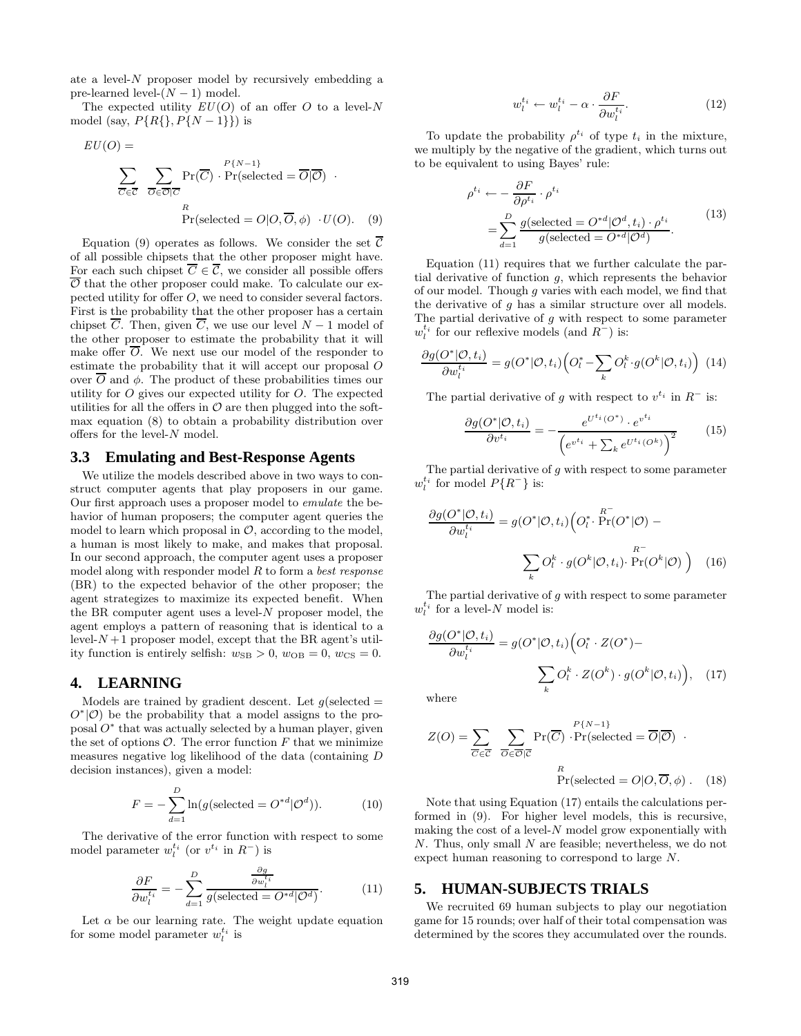ate a level- $N$  proposer model by recursively embedding a pre-learned level- $(N-1)$  model.

The expected utility  $EU(O)$  of an offer O to a level-N model (say,  $P\{R\}, P\{N-1\}\}\)$  is

$$
EU(O) = \sum_{\overline{C} \in \overline{C}} \sum_{\overline{O} \in \overline{O} | \overline{C}} \Pr(\overline{C}) \cdot \Pr(\text{selected} = \overline{O} | \overline{O}) \cdot \Pr(\text{selected} = \overline{O} | \overline{O}) \cdot \Pr(\text{selected} = O | O, \overline{O}, \phi) \cdot U(O). \quad (9)
$$

Equation (9) operates as follows. We consider the set  $\overline{C}$ of all possible chipsets that the other proposer might have. For each such chipset  $\overline{C} \in \overline{C}$ , we consider all possible offers  $\overline{\mathcal{O}}$  that the other proposer could make. To calculate our expected utility for offer O, we need to consider several factors. First is the probability that the other proposer has a certain chipset  $\overline{C}$ . Then, given  $\overline{C}$ , we use our level  $N-1$  model of the other proposer to estimate the probability that it will make offer  $\overline{O}$ . We next use our model of the responder to estimate the probability that it will accept our proposal O over  $\overline{O}$  and φ. The product of these probabilities times our utility for  $O$  gives our expected utility for  $O$ . The expected utilities for all the offers in  $\mathcal O$  are then plugged into the softmax equation (8) to obtain a probability distribution over offers for the level-N model.

#### **3.3 Emulating and Best-Response Agents**

We utilize the models described above in two ways to construct computer agents that play proposers in our game. Our first approach uses a proposer model to emulate the behavior of human proposers; the computer agent queries the model to learn which proposal in  $\mathcal{O}$ , according to the model, a human is most likely to make, and makes that proposal. In our second approach, the computer agent uses a proposer model along with responder model  $R$  to form a *best response* (BR) to the expected behavior of the other proposer; the agent strategizes to maximize its expected benefit. When the BR computer agent uses a level- $N$  proposer model, the agent employs a pattern of reasoning that is identical to a level- $N+1$  proposer model, except that the BR agent's utility function is entirely selfish:  $w_{\text{SB}} > 0$ ,  $w_{\text{OB}} = 0$ ,  $w_{\text{CS}} = 0$ .

### **4. LEARNING**

Models are trained by gradient descent. Let  $q$ (selected =  $O^*(O)$  be the probability that a model assigns to the proposal  $O^*$  that was actually selected by a human player, given the set of options  $\mathcal{O}$ . The error function  $F$  that we minimize measures negative log likelihood of the data (containing D decision instances), given a model:

$$
F = -\sum_{d=1}^{D} \ln(g(\text{selected} = O^{*d}|\mathcal{O}^d)).\tag{10}
$$

The derivative of the error function with respect to some model parameter  $w_l^{t_i}$  (or  $v^{t_i}$  in  $R^-$ ) is

$$
\frac{\partial F}{\partial w_l^{t_i}} = -\sum_{d=1}^D \frac{\frac{\partial g}{\partial w_l^{t_i}}}{g(\text{selected} = O^{*d}|\mathcal{O}^d)}.
$$
(11)

Let  $\alpha$  be our learning rate. The weight update equation for some model parameter  $w_l^{t_i}$  is

$$
w_l^{t_i} \leftarrow w_l^{t_i} - \alpha \cdot \frac{\partial F}{\partial w_l^{t_i}}.\tag{12}
$$

To update the probability  $\rho^{t_i}$  of type  $t_i$  in the mixture, we multiply by the negative of the gradient, which turns out to be equivalent to using Bayes' rule:

$$
\rho^{t_i} \leftarrow -\frac{\partial F}{\partial \rho^{t_i}} \cdot \rho^{t_i}
$$
\n
$$
= \sum_{d=1}^{D} \frac{g(\text{selected} = O^{*d} | O^d, t_i) \cdot \rho^{t_i}}{g(\text{selected} = O^{*d} | O^d)}.
$$
\n(13)

Equation (11) requires that we further calculate the partial derivative of function g, which represents the behavior of our model. Though g varies with each model, we find that the derivative of  $q$  has a similar structure over all models. The partial derivative of  $g$  with respect to some parameter  $w_l^{t_i}$  for our reflexive models (and  $R^-$ ) is:

$$
\frac{\partial g(O^*|O,t_i)}{\partial w_i^{t_i}} = g(O^*|O,t_i) \Big( O_i^* - \sum_k O_i^k \cdot g(O^k|O,t_i) \Big) \tag{14}
$$

The partial derivative of g with respect to  $v^{t_i}$  in  $R^-$  is:

$$
\frac{\partial g(O^*|O,t_i)}{\partial v^{t_i}} = -\frac{e^{U^{t_i}(O^*)} \cdot e^{v^{t_i}}}{\left(e^{v^{t_i}} + \sum_k e^{U^{t_i}(O^k)}\right)^2}
$$
(15)

The partial derivative of  $g$  with respect to some parameter  $w_l^{t_i}$  for model  $P\{R^-\}$  is:

$$
\frac{\partial g(O^*|O,t_i)}{\partial w_i^{t_i}} = g(O^*|O,t_i) \Big( O_i^* \cdot \Pr(O^*|O) - \frac{R^-}{\sum_k O_i^k \cdot g(O^k|O,t_i) \cdot \Pr(O^k|O) \Big)} \Big)
$$
(16)

The partial derivative of  $g$  with respect to some parameter  $w_l^{t_i}$  for a level-N model is:

$$
\frac{\partial g(O^*|O,t_i)}{\partial w_i^{t_i}} = g(O^*|O,t_i) \Big( O^*_l \cdot Z(O^*) - \sum_k O^k_l \cdot Z(O^k) \cdot g(O^k|O,t_i) \Big), \quad (17)
$$

where

$$
Z(O) = \sum_{\overline{C} \in \overline{C}} \sum_{\overline{O} \in \overline{O} \mid \overline{C}} \Pr(\overline{C}) \cdot \Pr(\text{selected} = \overline{O} \mid \overline{O}) \cdot \Pr(\text{selected} = \overline{O} \mid \overline{O}) \cdot \Pr(\text{selected} = O \mid O, \overline{O}, \phi) . \quad (18)
$$

Note that using Equation (17) entails the calculations performed in (9). For higher level models, this is recursive, making the cost of a level- $N$  model grow exponentially with N. Thus, only small N are feasible; nevertheless, we do not expect human reasoning to correspond to large N.

#### **5. HUMAN-SUBJECTS TRIALS**

We recruited 69 human subjects to play our negotiation game for 15 rounds; over half of their total compensation was determined by the scores they accumulated over the rounds.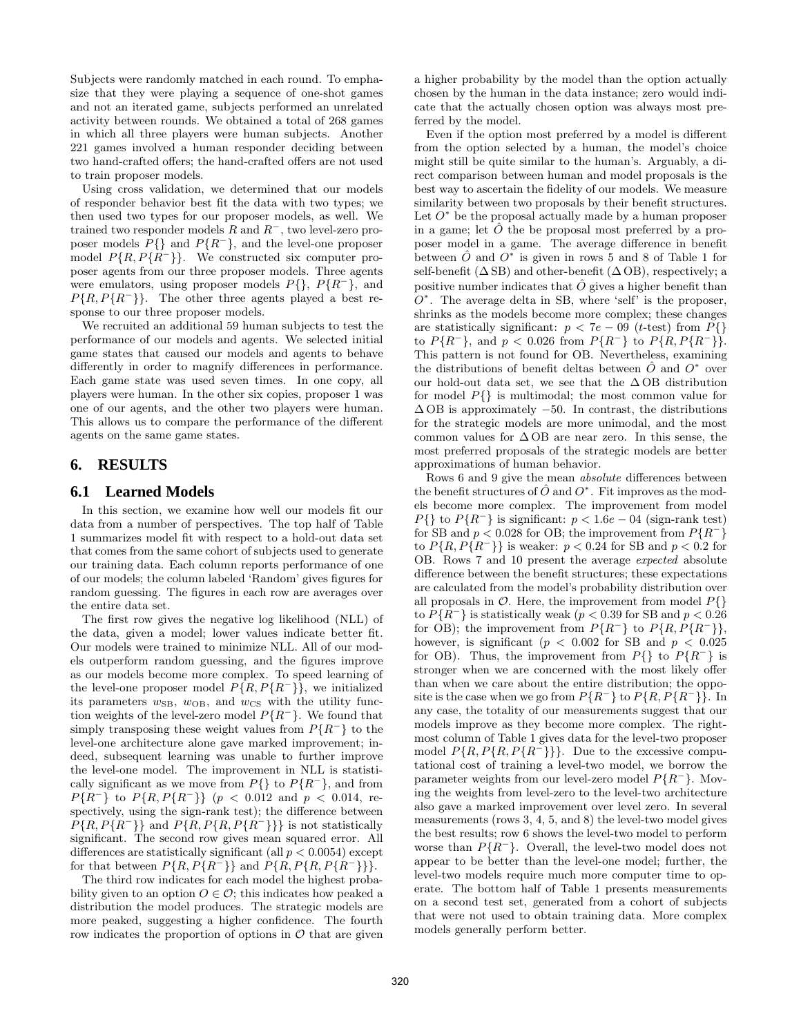Subjects were randomly matched in each round. To emphasize that they were playing a sequence of one-shot games and not an iterated game, subjects performed an unrelated activity between rounds. We obtained a total of 268 games in which all three players were human subjects. Another 221 games involved a human responder deciding between two hand-crafted offers; the hand-crafted offers are not used to train proposer models.

Using cross validation, we determined that our models of responder behavior best fit the data with two types; we then used two types for our proposer models, as well. We trained two responder models  $R$  and  $R^-$ , two level-zero proposer models  $P\{\}$  and  $P\{R^-\}$ , and the level-one proposer model  $P\{R, P\{R^-\}\}\$ . We constructed six computer proposer agents from our three proposer models. Three agents were emulators, using proposer models  $P\{\}, P\{R^-\}, \text{ and}$  $P\{R, P\{R^-\}\}\.$  The other three agents played a best response to our three proposer models.

We recruited an additional 59 human subjects to test the performance of our models and agents. We selected initial game states that caused our models and agents to behave differently in order to magnify differences in performance. Each game state was used seven times. In one copy, all players were human. In the other six copies, proposer 1 was one of our agents, and the other two players were human. This allows us to compare the performance of the different agents on the same game states.

# **6. RESULTS**

#### **6.1 Learned Models**

In this section, we examine how well our models fit our data from a number of perspectives. The top half of Table 1 summarizes model fit with respect to a hold-out data set that comes from the same cohort of subjects used to generate our training data. Each column reports performance of one of our models; the column labeled 'Random' gives figures for random guessing. The figures in each row are averages over the entire data set.

The first row gives the negative log likelihood (NLL) of the data, given a model; lower values indicate better fit. Our models were trained to minimize NLL. All of our models outperform random guessing, and the figures improve as our models become more complex. To speed learning of the level-one proposer model  $P\{R, P\{R^-\}\}\$ , we initialized its parameters  $w_{\text{SB}}$ ,  $w_{\text{OB}}$ , and  $w_{\text{CS}}$  with the utility function weights of the level-zero model  $P\{R^-\}$ . We found that simply transposing these weight values from  $P\{R^-\}$  to the level-one architecture alone gave marked improvement; indeed, subsequent learning was unable to further improve the level-one model. The improvement in NLL is statistically significant as we move from  $P\{\}$  to  $P\{R^-\}$ , and from  $P\{R^{-}\}\$ to  $P\{R, P\{R^{-}\}\}\$  ( $p < 0.012$  and  $p < 0.014$ , respectively, using the sign-rank test); the difference between  $P\{R, P\{R^{-}\}\}\$ and  $P\{R, P\{R^{-}\}\}\}$  is not statistically significant. The second row gives mean squared error. All differences are statistically significant (all  $p < 0.0054$ ) except for that between  $P\{R, P\{R^-\}\}\$  and  $P\{R, P\{R, P\{R^-\}\}\}\$ .

The third row indicates for each model the highest probability given to an option  $O \in \mathcal{O}$ ; this indicates how peaked a distribution the model produces. The strategic models are more peaked, suggesting a higher confidence. The fourth row indicates the proportion of options in  $\mathcal O$  that are given a higher probability by the model than the option actually chosen by the human in the data instance; zero would indicate that the actually chosen option was always most preferred by the model.

Even if the option most preferred by a model is different from the option selected by a human, the model's choice might still be quite similar to the human's. Arguably, a direct comparison between human and model proposals is the best way to ascertain the fidelity of our models. We measure similarity between two proposals by their benefit structures. Let  $O^*$  be the proposal actually made by a human proposer in a game; let  $\hat{O}$  the be proposal most preferred by a proposer model in a game. The average difference in benefit between  $\hat{O}$  and  $O^*$  is given in rows 5 and 8 of Table 1 for self-benefit ( $\Delta$  SB) and other-benefit ( $\Delta$  OB), respectively; a positive number indicates that  $\hat{O}$  gives a higher benefit than  $O^*$ . The average delta in SB, where 'self' is the proposer, shrinks as the models become more complex; these changes are statistically significant:  $p < 7e - 09$  (*t*-test) from  $P\{\}$ to  $P\{R^-\}\text{, and }p< 0.026 \text{ from } P\{R^-\}\text{ to } P\{R, P\{R^-\}\}.$ This pattern is not found for OB. Nevertheless, examining the distributions of benefit deltas between  $\hat{O}$  and  $O^*$  over our hold-out data set, we see that the  $\Delta$ OB distribution for model  $P\{\}\$ is multimodal; the most common value for  $\Delta$  OB is approximately  $-50$ . In contrast, the distributions for the strategic models are more unimodal, and the most common values for  $\Delta$  OB are near zero. In this sense, the most preferred proposals of the strategic models are better approximations of human behavior.

Rows 6 and 9 give the mean absolute differences between the benefit structures of  $\hat{O}$  and  $O^*$ . Fit improves as the models become more complex. The improvement from model  $P\{\}$  to  $P\{R^{-}\}\$ is significant:  $p < 1.6e - 0.4$  (sign-rank test) for SB and  $p < 0.028$  for OB; the improvement from  $P\{R^-\}$ to  $P\{R, P\{R^-\}\}\$ is weaker:  $p < 0.24$  for SB and  $p < 0.2$  for OB. Rows 7 and 10 present the average expected absolute difference between the benefit structures; these expectations are calculated from the model's probability distribution over all proposals in  $\mathcal O$ . Here, the improvement from model  $P\{\}$ to  $P\{R^-\}$  is statistically weak ( $p < 0.39$  for SB and  $p < 0.26$ ) for OB); the improvement from  $P\{R^-\}$  to  $P\{R, P\{R^-\}\}\,$ , however, is significant ( $p < 0.002$  for SB and  $p < 0.025$ ) for OB). Thus, the improvement from  $P\{\}$  to  $P\{R^-\}$  is stronger when we are concerned with the most likely offer than when we care about the entire distribution; the opposite is the case when we go from  $P\{R^-\}\$  to  $P\{R, P\{R^-\}\}\$ . In any case, the totality of our measurements suggest that our models improve as they become more complex. The rightmost column of Table 1 gives data for the level-two proposer model  $P\{R, P\{R, P\{R^-\}\}\}\.$  Due to the excessive computational cost of training a level-two model, we borrow the parameter weights from our level-zero model  $P\{R^-\}$ . Moving the weights from level-zero to the level-two architecture also gave a marked improvement over level zero. In several measurements (rows 3, 4, 5, and 8) the level-two model gives the best results; row 6 shows the level-two model to perform worse than  $P\{R^-\}$ . Overall, the level-two model does not appear to be better than the level-one model; further, the level-two models require much more computer time to operate. The bottom half of Table 1 presents measurements on a second test set, generated from a cohort of subjects that were not used to obtain training data. More complex models generally perform better.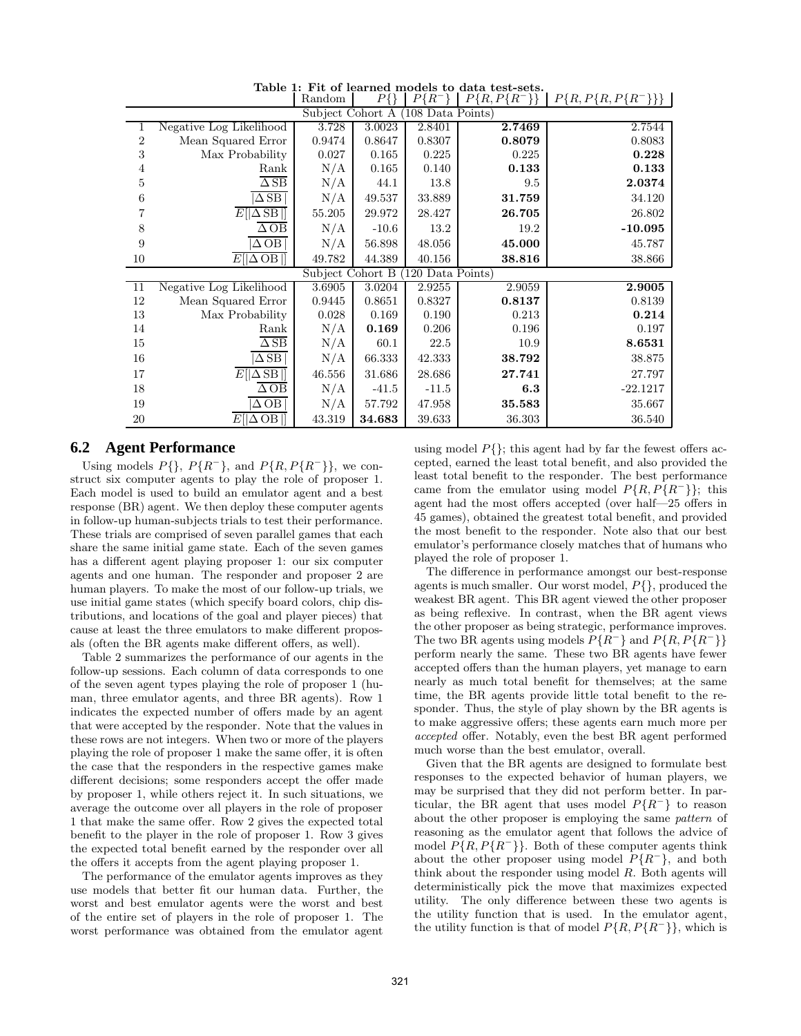| U<br>,,,<br>108 Data Points)<br>Subject Cohort A |                                       |        |         |         |        |            |  |  |  |  |  |  |
|--------------------------------------------------|---------------------------------------|--------|---------|---------|--------|------------|--|--|--|--|--|--|
| 1                                                | Negative Log Likelihood               | 3.728  | 3.0023  | 2.8401  | 2.7469 | 2.7544     |  |  |  |  |  |  |
| $\overline{2}$                                   | Mean Squared Error                    | 0.9474 | 0.8647  | 0.8307  | 0.8079 | 0.8083     |  |  |  |  |  |  |
| 3                                                | Max Probability                       | 0.027  | 0.165   | 0.225   | 0.225  | 0.228      |  |  |  |  |  |  |
| 4                                                | Rank                                  | N/A    | 0.165   | 0.140   | 0.133  | 0.133      |  |  |  |  |  |  |
| 5                                                | $\overline{\Delta$ SB                 | N/A    | 44.1    | 13.8    | 9.5    | 2.0374     |  |  |  |  |  |  |
| 6                                                | $\Delta$ SB                           | N/A    | 49.537  | 33.889  | 31.759 | 34.120     |  |  |  |  |  |  |
| 7                                                | $E[ \Delta SB ]$                      | 55.205 | 29.972  | 28.427  | 26.705 | 26.802     |  |  |  |  |  |  |
| 8                                                | $\overline{\Delta$ OB                 | N/A    | $-10.6$ | 13.2    | 19.2   | $-10.095$  |  |  |  |  |  |  |
| 9                                                | $\Delta$ OB                           | N/A    | 56.898  | 48.056  | 45.000 | 45.787     |  |  |  |  |  |  |
| 10                                               | $E[ \Delta$ OB $ ]$                   | 49.782 | 44.389  | 40.156  | 38.816 | 38.866     |  |  |  |  |  |  |
| Subject Cohort B<br>120 Data Points)             |                                       |        |         |         |        |            |  |  |  |  |  |  |
| 11                                               | Negative Log Likelihood               | 3.6905 | 3.0204  | 2.9255  | 2.9059 | 2.9005     |  |  |  |  |  |  |
| 12                                               | Mean Squared Error                    | 0.9445 | 0.8651  | 0.8327  | 0.8137 | 0.8139     |  |  |  |  |  |  |
| 13                                               | Max Probability                       | 0.028  | 0.169   | 0.190   | 0.213  | 0.214      |  |  |  |  |  |  |
| 14                                               | Rank                                  | N/A    | 0.169   | 0.206   | 0.196  | 0.197      |  |  |  |  |  |  |
| 15                                               | $\overline{\Delta$ SB                 | N/A    | 60.1    | 22.5    | 10.9   | 8.6531     |  |  |  |  |  |  |
| 16                                               | $\Delta$ SB                           | N/A    | 66.333  | 42.333  | 38.792 | 38.875     |  |  |  |  |  |  |
| 17                                               | $E[ \overline{\Delta}S\overline{B} ]$ | 46.556 | 31.686  | 28.686  | 27.741 | 27.797     |  |  |  |  |  |  |
| 18                                               | $\Delta$ OB                           | N/A    | $-41.5$ | $-11.5$ | 6.3    | $-22.1217$ |  |  |  |  |  |  |
| 19                                               | $\triangle$ OB                        | N/A    | 57.792  | 47.958  | 35.583 | 35.667     |  |  |  |  |  |  |
| 20                                               | $E[ \Delta$ OB                        | 43.319 | 34.683  | 39.633  | 36.303 | 36.540     |  |  |  |  |  |  |

Table 1: Fit of learned models to data test-sets.<br>| Random |  $P\{\}\$  |  $P\{R^-\}$  |  $P\{R, P\{R^-\}\}\$ Random |  $P\{\}\$  |  $P\{R^-\}$  |  $P\{R, P\{R^-\}\}\$  |  $P\{R, P\{R, P\{R^-\}\}\}\$ 

# **6.2 Agent Performance**

Using models  $P\{\}, P\{R^-\}, \text{ and } P\{R, P\{R^-\}\}\}\$ , we construct six computer agents to play the role of proposer 1. Each model is used to build an emulator agent and a best response (BR) agent. We then deploy these computer agents in follow-up human-subjects trials to test their performance. These trials are comprised of seven parallel games that each share the same initial game state. Each of the seven games has a different agent playing proposer 1: our six computer agents and one human. The responder and proposer 2 are human players. To make the most of our follow-up trials, we use initial game states (which specify board colors, chip distributions, and locations of the goal and player pieces) that cause at least the three emulators to make different proposals (often the BR agents make different offers, as well).

Table 2 summarizes the performance of our agents in the follow-up sessions. Each column of data corresponds to one of the seven agent types playing the role of proposer 1 (human, three emulator agents, and three BR agents). Row 1 indicates the expected number of offers made by an agent that were accepted by the responder. Note that the values in these rows are not integers. When two or more of the players playing the role of proposer 1 make the same offer, it is often the case that the responders in the respective games make different decisions; some responders accept the offer made by proposer 1, while others reject it. In such situations, we average the outcome over all players in the role of proposer 1 that make the same offer. Row 2 gives the expected total benefit to the player in the role of proposer 1. Row 3 gives the expected total benefit earned by the responder over all the offers it accepts from the agent playing proposer 1.

The performance of the emulator agents improves as they use models that better fit our human data. Further, the worst and best emulator agents were the worst and best of the entire set of players in the role of proposer 1. The worst performance was obtained from the emulator agent

using model  $P\{\}$ ; this agent had by far the fewest offers accepted, earned the least total benefit, and also provided the least total benefit to the responder. The best performance came from the emulator using model  $P\{R, P\{R^-\}\}\;$ ; this agent had the most offers accepted (over half—25 offers in 45 games), obtained the greatest total benefit, and provided the most benefit to the responder. Note also that our best emulator's performance closely matches that of humans who played the role of proposer 1.

The difference in performance amongst our best-response agents is much smaller. Our worst model, P{}, produced the weakest BR agent. This BR agent viewed the other proposer as being reflexive. In contrast, when the BR agent views the other proposer as being strategic, performance improves. The two BR agents using models  $P\{R^-\}\$  and  $P\{R, P\{R^-\}\}\$ perform nearly the same. These two BR agents have fewer accepted offers than the human players, yet manage to earn nearly as much total benefit for themselves; at the same time, the BR agents provide little total benefit to the responder. Thus, the style of play shown by the BR agents is to make aggressive offers; these agents earn much more per accepted offer. Notably, even the best BR agent performed much worse than the best emulator, overall.

Given that the BR agents are designed to formulate best responses to the expected behavior of human players, we may be surprised that they did not perform better. In particular, the BR agent that uses model  $P\{R^-\}$  to reason about the other proposer is employing the same pattern of reasoning as the emulator agent that follows the advice of model  $P\{R, P\{R^-\}\}\$ . Both of these computer agents think about the other proposer using model  $P\{R^-\}$ , and both think about the responder using model R. Both agents will deterministically pick the move that maximizes expected utility. The only difference between these two agents is the utility function that is used. In the emulator agent, the utility function is that of model  $P\{R, P\{R^-\}\}\$ , which is